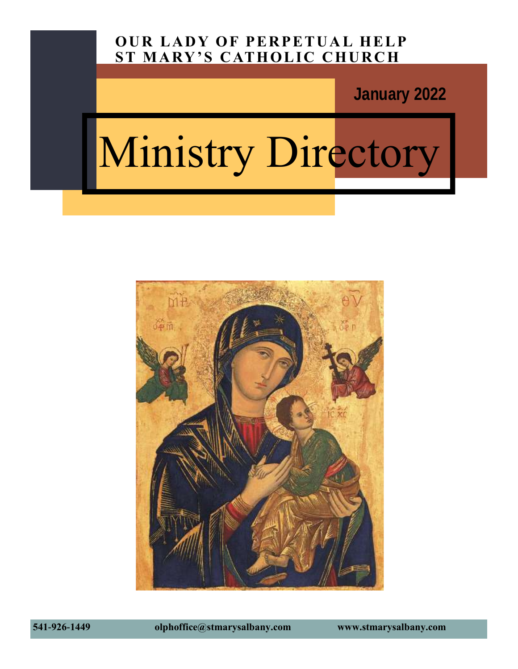### **OUR LADY OF PERPETUAL HELP ST MARY'S CATHOLIC CHURCH**

**January 2022**

# Ministry Directory



**541-926-1449 olphoffice@stmarysalbany.com www.stmarysalbany.com**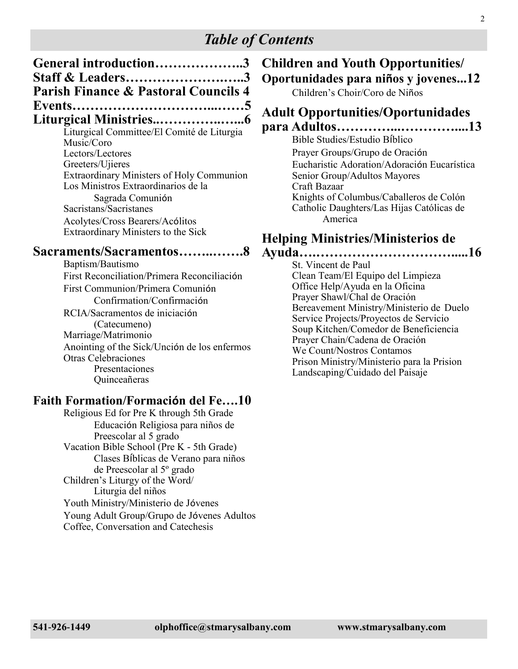### *Table of Contents*

| General introduction3                                               |  |
|---------------------------------------------------------------------|--|
| Staff & Leaders3<br><b>Parish Finance &amp; Pastoral Councils 4</b> |  |
|                                                                     |  |
|                                                                     |  |
|                                                                     |  |

Liturgical Committee/El Comité de Liturgia Music/Coro Lectors/Lectores Greeters/Ujieres Extraordinary Ministers of Holy Communion Los Ministros Extraordinarios de la Sagrada Comunión Sacristans/Sacristanes Acolytes/Cross Bearers/Acólitos Extraordinary Ministers to the Sick

#### **Sacraments/Sacramentos……..…….8**

Baptism/Bautismo First Reconciliation/Primera Reconciliación First Communion/Primera Comunión Confirmation/Confirmación RCIA/Sacramentos de iniciación (Catecumeno) Marriage/Matrimonio Anointing of the Sick/Unción de los enfermos Otras Celebraciones Presentaciones Quinceañeras

### **Faith Formation/Formación del Fe….10**

Religious Ed for Pre K through 5th Grade Educación Religiosa para niños de Preescolar al 5 grado Vacation Bible School (Pre K - 5th Grade) Clases Bíblicas de Verano para niños de Preescolar al 5º grado Children's Liturgy of the Word/ Liturgia del niños Youth Ministry/Ministerio de Jóvenes Young Adult Group/Grupo de Jóvenes Adultos Coffee, Conversation and Catechesis

#### **Children and Youth Opportunities/ Oportunidades para niños y jovenes...12** Children's Choir/Coro de Niños

## **Adult Opportunities/Oportunidades**

### **para Adultos…………...…………....13**

Bible Studies/Estudio Bíblico Prayer Groups/Grupo de Oración Eucharistic Adoration/Adoración Eucarística Senior Group/Adultos Mayores Craft Bazaar Knights of Columbus/Caballeros de Colón Catholic Daughters/Las Hijas Católicas de America

### **Helping Ministries/Ministerios de**

**Ayuda….………………………….....16** St. Vincent de Paul Clean Team/El Equipo del Limpieza Office Help/Ayuda en la Oficina Prayer Shawl/Chal de Oración Bereavement Ministry/Ministerio de Duelo Service Projects/Proyectos de Servicio Soup Kitchen/Comedor de Beneficiencia Prayer Chain/Cadena de Oración We Count/Nostros Contamos Prison Ministry/Ministerio para la Prision Landscaping/Cuidado del Paisaje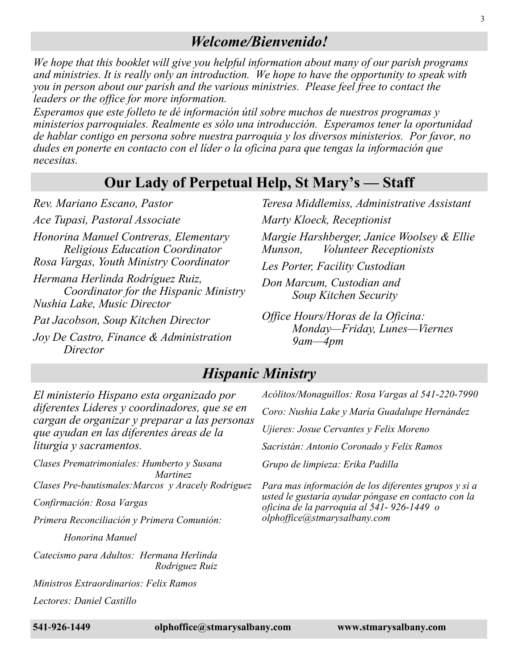### *Welcome/Bienvenido!*

*We hope that this booklet will give you helpful information about many of our parish programs and ministries. It is really only an introduction. We hope to have the opportunity to speak with you in person about our parish and the various ministries. Please feel free to contact the leaders or the office for more information.*

*Esperamos que este folleto te dé información útil sobre muchos de nuestros programas y ministerios parroquiales. Realmente es sólo una introducción. Esperamos tener la oportunidad de hablar contigo en persona sobre nuestra parroquia y los diversos ministerios. Por favor, no dudes en ponerte en contacto con el líder o la oficina para que tengas la información que necesitas.* 

### **Our Lady of Perpetual Help, St Mary's — Staff**

*Rev. Mariano Escano, Pastor*

*Ace Tupasi, Pastoral Associate*

*Honorina Manuel Contreras, Elementary Religious Education Coordinator Rosa Vargas, Youth Ministry Coordinator*

*Hermana Herlinda Rodríguez Ruiz, Coordinator for the Hispanic Ministry Nushia Lake, Music Director*

*Pat Jacobson, Soup Kitchen Director*

*Joy De Castro, Finance & Administration Director*

*Teresa Middlemiss, Administrative Assistant Marty Kloeck, Receptionist*

*Margie Harshberger, Janice Woolsey & Ellie Munson, Volunteer Receptionists*

*Les Porter, Facility Custodian*

*Don Marcum, Custodian and Soup Kitchen Security*

*Office Hours/Horas de la Oficina: Monday—Friday, Lunes—Viernes 9am—4pm*

### *Hispanic Ministry*

*El ministerio Hispano esta organizado por diferentes Lideres y coordinadores, que se en cargan de organizar y preparar a las personas que ayudan en las diferentes áreas de la liturgia y sacramentos.* 

*Clases Prematrimoniales: Humberto y Susana Martinez Clases Pre-bautismales:Marcos y Aracely Rodriguez*

*Confirmación: Rosa Vargas*

*Primera Reconciliación y Primera Comunión:* 

*Honorina Manuel*

*Catecismo para Adultos: Hermana Herlinda Rodriguez Ruiz*

*Ministros Extraordinarios: Felix Ramos*

*Lectores: Daniel Castillo* 

*Acólitos/Monaguillos: Rosa Vargas al 541-220-7990 Coro: Nushia Lake y María Guadalupe Hernández Ujieres: Josue Cervantes y Felix Moreno Sacristán: Antonio Coronado y Felix Ramos Grupo de limpieza: Erika Padilla Para mas información de los diferentes grupos y si a usted le gustaría ayudar póngase en contacto con la* 

*oficina de la parroquia al 541- 926-1449 o* 

*olphoffice@stmarysalbany.com*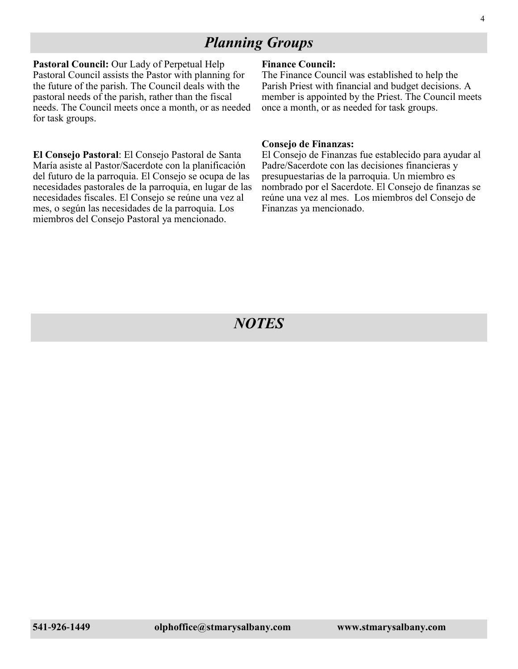### *Planning Groups*

**Pastoral Council:** Our Lady of Perpetual Help Pastoral Council assists the Pastor with planning for the future of the parish. The Council deals with the pastoral needs of the parish, rather than the fiscal needs. The Council meets once a month, or as needed for task groups.

**El Consejo Pastoral**: El Consejo Pastoral de Santa María asiste al Pastor/Sacerdote con la planificación del futuro de la parroquia. El Consejo se ocupa de las necesidades pastorales de la parroquia, en lugar de las necesidades fiscales. El Consejo se reúne una vez al mes, o según las necesidades de la parroquia. Los miembros del Consejo Pastoral ya mencionado.

#### **Finance Council:**

The Finance Council was established to help the Parish Priest with financial and budget decisions. A member is appointed by the Priest. The Council meets once a month, or as needed for task groups.

#### **Consejo de Finanzas:**

El Consejo de Finanzas fue establecido para ayudar al Padre/Sacerdote con las decisiones financieras y presupuestarias de la parroquia. Un miembro es nombrado por el Sacerdote. El Consejo de finanzas se reúne una vez al mes. Los miembros del Consejo de Finanzas ya mencionado.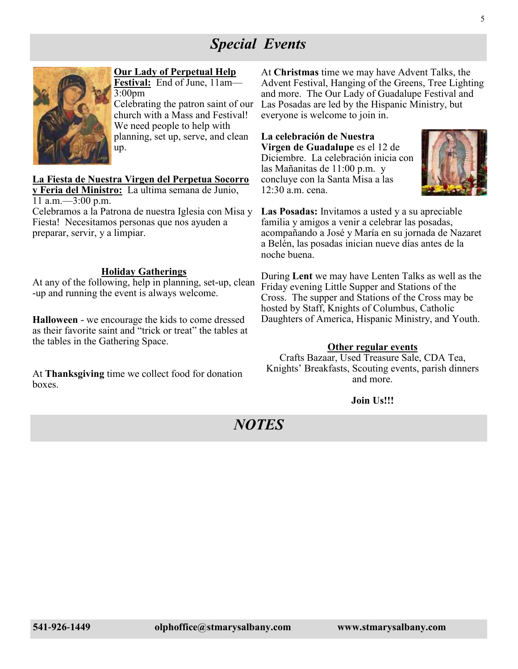### *Special Events*



#### **Our Lady of Perpetual Help**

**Festival:** End of June, 11am— 3:00pm Celebrating the patron saint of our church with a Mass and Festival! We need people to help with planning, set up, serve, and clean up.

#### **La Fiesta de Nuestra Virgen del Perpetua Socorro**

**y Feria del Ministro:** La ultima semana de Junio, 11 a.m.—3:00 p.m.

Celebramos a la Patrona de nuestra Iglesia con Misa y Fiesta! Necesitamos personas que nos ayuden a preparar, servir, y a limpiar.

#### **Holiday Gatherings**

At any of the following, help in planning, set-up, clean -up and running the event is always welcome.

**Halloween** - we encourage the kids to come dressed as their favorite saint and "trick or treat" the tables at the tables in the Gathering Space.

At **Thanksgiving** time we collect food for donation boxes.

At **Christmas** time we may have Advent Talks, the Advent Festival, Hanging of the Greens, Tree Lighting and more. The Our Lady of Guadalupe Festival and Las Posadas are led by the Hispanic Ministry, but everyone is welcome to join in.

**La celebración de Nuestra Virgen de Guadalupe** es el 12 de Diciembre. La celebración inicia con las Mañanitas de 11:00 p.m. y concluye con la Santa Misa a las 12:30 a.m. cena.



**Las Posadas:** Invitamos a usted y a su apreciable familia y amigos a venir a celebrar las posadas, acompañando a José y María en su jornada de Nazaret a Belén, las posadas inician nueve días antes de la noche buena.

During **Lent** we may have Lenten Talks as well as the Friday evening Little Supper and Stations of the Cross. The supper and Stations of the Cross may be hosted by Staff, Knights of Columbus, Catholic Daughters of America, Hispanic Ministry, and Youth.

#### **Other regular events**

Crafts Bazaar, Used Treasure Sale, CDA Tea, Knights' Breakfasts, Scouting events, parish dinners and more.

#### **Join Us!!!**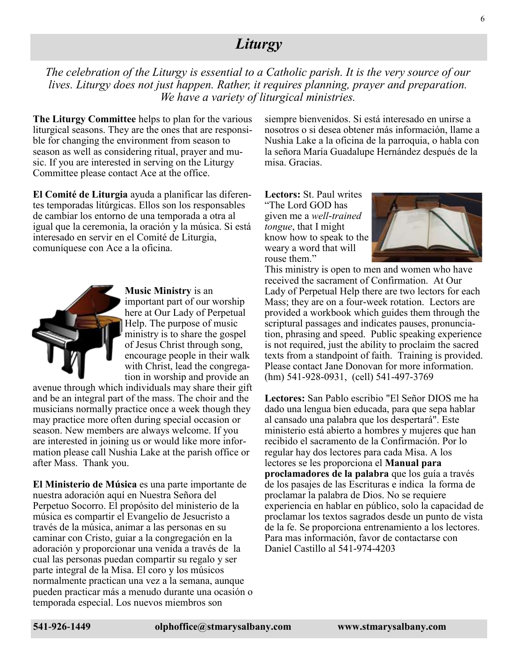### *Liturgy*

*The celebration of the Liturgy is essential to a Catholic parish. It is the very source of our lives. Liturgy does not just happen. Rather, it requires planning, prayer and preparation. We have a variety of liturgical ministries.* 

**The Liturgy Committee** helps to plan for the various liturgical seasons. They are the ones that are responsible for changing the environment from season to season as well as considering ritual, prayer and music. If you are interested in serving on the Liturgy Committee please contact Ace at the office.

**El Comité de Liturgia** ayuda a planificar las diferentes temporadas litúrgicas. Ellos son los responsables de cambiar los entorno de una temporada a otra al igual que la ceremonia, la oración y la música. Si está interesado en servir en el Comité de Liturgia, comuníquese con Ace a la oficina.



**Music Ministry** is an important part of our worship here at Our Lady of Perpetual Help. The purpose of music ministry is to share the gospel of Jesus Christ through song, encourage people in their walk with Christ, lead the congregation in worship and provide an

avenue through which individuals may share their gift and be an integral part of the mass. The choir and the musicians normally practice once a week though they may practice more often during special occasion or season. New members are always welcome. If you are interested in joining us or would like more information please call Nushia Lake at the parish office or after Mass. Thank you.

**El Ministerio de Música** es una parte importante de nuestra adoración aquí en Nuestra Señora del Perpetuo Socorro. El propósito del ministerio de la música es compartir el Evangelio de Jesucristo a través de la música, animar a las personas en su caminar con Cristo, guiar a la congregación en la adoración y proporcionar una venida a través de la cual las personas puedan compartir su regalo y ser parte integral de la Misa. El coro y los músicos normalmente practican una vez a la semana, aunque pueden practicar más a menudo durante una ocasión o temporada especial. Los nuevos miembros son

siempre bienvenidos. Si está interesado en unirse a nosotros o si desea obtener más información, llame a Nushia Lake a la oficina de la parroquia, o habla con la señora María Guadalupe Hernández después de la misa. Gracias.

**Lectors:** St. Paul writes "The Lord GOD has given me a *well*-*trained tongue*, that I might know how to speak to the weary a word that will rouse them."



This ministry is open to men and women who have received the sacrament of Confirmation. At Our Lady of Perpetual Help there are two lectors for each Mass; they are on a four-week rotation. Lectors are provided a workbook which guides them through the scriptural passages and indicates pauses, pronunciation, phrasing and speed. Public speaking experience is not required, just the ability to proclaim the sacred texts from a standpoint of faith. Training is provided. Please contact Jane Donovan for more information. (hm) 541-928-0931, (cell) 541-497-3769

**Lectores:** San Pablo escribio "El Señor DIOS me ha dado una lengua bien educada, para que sepa hablar al cansado una palabra que los despertará". Este ministerio está abierto a hombres y mujeres que han recibido el sacramento de la Confirmación. Por lo regular hay dos lectores para cada Misa. A los lectores se les proporciona el **Manual para proclamadores de la palabra** que los guía a través de los pasajes de las Escrituras e indica la forma de proclamar la palabra de Dios. No se requiere experiencia en hablar en público, solo la capacidad de proclamar los textos sagrados desde un punto de vista de la fe. Se proporciona entrenamiento a los lectores. Para mas información, favor de contactarse con Daniel Castillo al 541-974-4203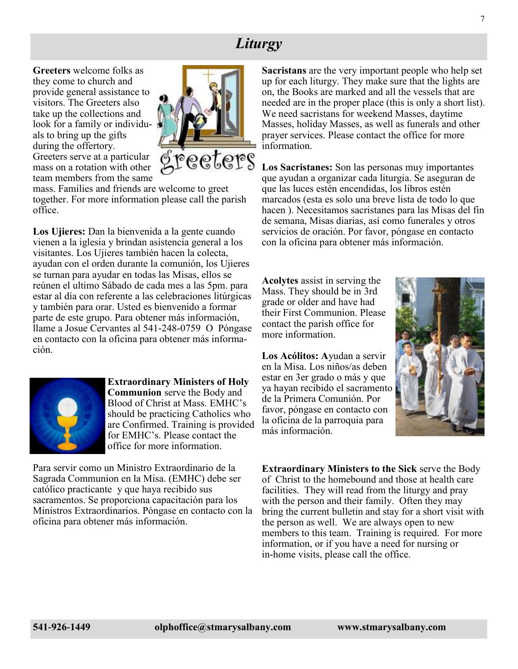### *Liturgy*

**Greeters** welcome folks as they come to church and provide general assistance to visitors. The Greeters also take up the collections and look for a family or individuals to bring up the gifts during the offertory. Greeters serve at a particular mass on a rotation with other team members from the same



mass. Families and friends are welcome to greet together. For more information please call the parish office.

**Los Ujieres:** Dan la bienvenida a la gente cuando vienen a la iglesia y brindan asistencia general a los visitantes. Los Ujieres también hacen la colecta, ayudan con el orden durante la comunión, los Ujieres se turnan para ayudar en todas las Misas, ellos se reúnen el ultimo Sábado de cada mes a las 5pm. para estar al día con referente a las celebraciones litúrgicas y también para orar. Usted es bienvenido a formar parte de este grupo. Para obtener más información, llame a Josue Cervantes al 541-248-0759 O Póngase en contacto con la oficina para obtener más información.



**Extraordinary Ministers of Holy Communion** serve the Body and Blood of Christ at Mass. EMHC's should be practicing Catholics who are Confirmed. Training is provided for EMHC's. Please contact the office for more information.

Para servir como un Ministro Extraordinario de la Sagrada Communion en la Misa. (EMHC) debe ser católico practicante y que haya recibido sus sacramentos. Se proporciona capacitación para los Ministros Extraordinarios. Póngase en contacto con la oficina para obtener más información.

**Sacristans** are the very important people who help set up for each liturgy. They make sure that the lights are on, the Books are marked and all the vessels that are needed are in the proper place (this is only a short list). We need sacristans for weekend Masses, daytime Masses, holiday Masses, as well as funerals and other prayer services. Please contact the office for more information.

**Los Sacristanes:** Son las personas muy importantes que ayudan a organizar cada liturgia. Se aseguran de que las luces estén encendidas, los libros estén marcados (esta es solo una breve lista de todo lo que hacen ). Necesitamos sacristanes para las Misas del fin de semana, Misas diarias, así como funerales y otros servicios de oración. Por favor, póngase en contacto con la oficina para obtener más información.

**Acolytes** assist in serving the Mass. They should be in 3rd grade or older and have had their First Communion. Please contact the parish office for more information.

**Los Acólitos: A**yudan a servir en la Misa. Los niños/as deben estar en 3er grado o más y que ya hayan recibido el sacramento de la Primera Comunión. Por favor, póngase en contacto con la oficina de la parroquia para más información.



**Extraordinary Ministers to the Sick** serve the Body of Christ to the homebound and those at health care facilities. They will read from the liturgy and pray with the person and their family. Often they may bring the current bulletin and stay for a short visit with the person as well. We are always open to new members to this team. Training is required. For more information, or if you have a need for nursing or in-home visits, please call the office.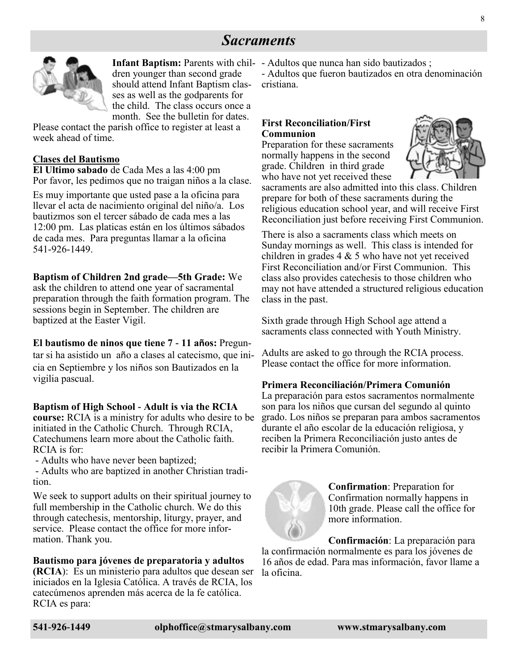### *Sacraments*



dren younger than second grade should attend Infant Baptism classes as well as the godparents for the child. The class occurs once a month. See the bulletin for dates.

Please contact the parish office to register at least a week ahead of time.

#### **Clases del Bautismo**

**El Ultimo sabado** de Cada Mes a las 4:00 pm Por favor, les pedimos que no traigan niños a la clase.

Es muy importante que usted pase a la oficina para llevar el acta de nacimiento original del niño/a. Los bautizmos son el tercer sábado de cada mes a las 12:00 pm. Las platicas están en los últimos sábados de cada mes. Para preguntas llamar a la oficina 541-926-1449.

#### **Baptism of Children 2nd grade—5th Grade:** We

ask the children to attend one year of sacramental preparation through the faith formation program. The sessions begin in September. The children are baptized at the Easter Vigil.

#### **El bautismo de ninos que tiene 7 - 11 años:** Pregun-

tar si ha asistido un año a clases al catecismo, que inicia en Septiembre y los niños son Bautizados en la vigilia pascual.

#### **Baptism of High School - Adult is via the RCIA**

**course:** RCIA is a ministry for adults who desire to be initiated in the Catholic Church. Through RCIA, Catechumens learn more about the Catholic faith. RCIA is for:

- Adults who have never been baptized;

- Adults who are baptized in another Christian tradition.

We seek to support adults on their spiritual journey to full membership in the Catholic church. We do this through catechesis, mentorship, liturgy, prayer, and service. Please contact the office for more information. Thank you.

#### **Bautismo para jóvenes de preparatoria y adultos**

**(RCIA**): Es un ministerio para adultos que desean ser iniciados en la Iglesia Católica. A través de RCIA, los catecúmenos aprenden más acerca de la fe católica. RCIA es para:

Infant Baptism: Parents with chil- - Adultos que nunca han sido bautizados;

- Adultos que fueron bautizados en otra denominación cristiana.

#### **First Reconciliation/First Communion**

Preparation for these sacraments normally happens in the second grade. Children in third grade who have not yet received these



sacraments are also admitted into this class. Children prepare for both of these sacraments during the religious education school year, and will receive First Reconciliation just before receiving First Communion.

There is also a sacraments class which meets on Sunday mornings as well. This class is intended for children in grades 4 & 5 who have not yet received First Reconciliation and/or First Communion. This class also provides catechesis to those children who may not have attended a structured religious education class in the past.

Sixth grade through High School age attend a sacraments class connected with Youth Ministry.

Adults are asked to go through the RCIA process. Please contact the office for more information.

#### **Primera Reconciliación/Primera Comunión**

La preparación para estos sacramentos normalmente son para los niños que cursan del segundo al quinto grado. Los niños se preparan para ambos sacramentos durante el año escolar de la educación religiosa, y reciben la Primera Reconciliación justo antes de recibir la Primera Comunión.



**Confirmation**: Preparation for Confirmation normally happens in 10th grade. Please call the office for more information.

**Confirmación**: La preparación para la confirmación normalmente es para los jóvenes de 16 años de edad. Para mas información, favor llame a la oficina.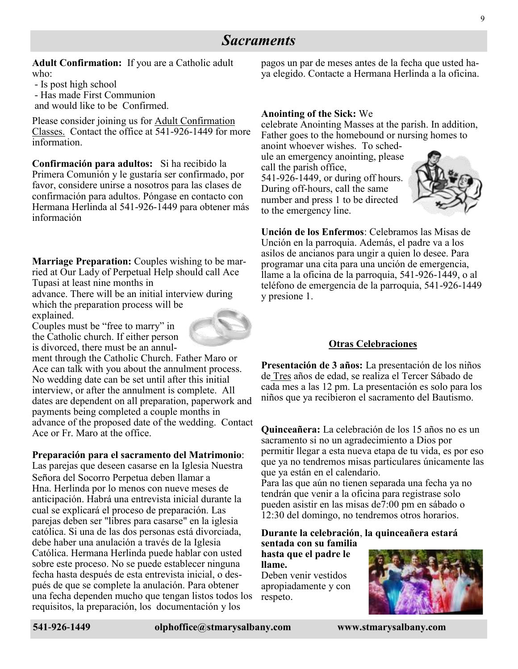### *Sacraments*

**Adult Confirmation:** If you are a Catholic adult who:

- Is post high school

- Has made First Communion

and would like to be Confirmed.

Please consider joining us for Adult Confirmation Classes. Contact the office at 541-926-1449 for more information.

**Confirmación para adultos:** Si ha recibido la Primera Comunión y le gustaría ser confirmado, por favor, considere unirse a nosotros para las clases de confirmación para adultos. Póngase en contacto con Hermana Herlinda al 541-926-1449 para obtener más información

**Marriage Preparation:** Couples wishing to be married at Our Lady of Perpetual Help should call Ace Tupasi at least nine months in

advance. There will be an initial interview during which the preparation process will be explained.

Couples must be "free to marry" in the Catholic church. If either person is divorced, there must be an annul-

ment through the Catholic Church. Father Maro or Ace can talk with you about the annulment process. No wedding date can be set until after this initial interview, or after the annulment is complete. All dates are dependent on all preparation, paperwork and payments being completed a couple months in advance of the proposed date of the wedding. Contact Ace or Fr. Maro at the office.

#### **Preparación para el sacramento del Matrimonio**:

Las parejas que deseen casarse en la Iglesia Nuestra Señora del Socorro Perpetua deben llamar a Hna. Herlinda por lo menos con nueve meses de anticipación. Habrá una entrevista inicial durante la cual se explicará el proceso de preparación. Las parejas deben ser "libres para casarse" en la iglesia católica. Si una de las dos personas está divorciada, debe haber una anulación a través de la Iglesia Católica. Hermana Herlinda puede hablar con usted sobre este proceso. No se puede establecer ninguna fecha hasta después de esta entrevista inicial, o después de que se complete la anulación. Para obtener una fecha dependen mucho que tengan listos todos los requisitos, la preparación, los documentación y los

pagos un par de meses antes de la fecha que usted haya elegido. Contacte a Hermana Herlinda a la oficina.

#### **Anointing of the Sick:** We

celebrate Anointing Masses at the parish. In addition, Father goes to the homebound or nursing homes to

anoint whoever wishes. To schedule an emergency anointing, please call the parish office, 541-926-1449, or during off hours. During off-hours, call the same number and press 1 to be directed to the emergency line.



**Unción de los Enfermos**: Celebramos las Misas de Unción en la parroquia. Además, el padre va a los asilos de ancianos para ungir a quien lo desee. Para programar una cita para una unción de emergencia, llame a la oficina de la parroquia, 541-926-1449, o al teléfono de emergencia de la parroquia, 541-926-1449 y presione 1.

#### **Otras Celebraciones**

**Presentación de 3 años:** La presentación de los niños de Tres años de edad, se realiza el Tercer Sábado de cada mes a las 12 pm. La presentación es solo para los niños que ya recibieron el sacramento del Bautismo.

**Quinceañera:** La celebración de los 15 años no es un sacramento si no un agradecimiento a Dios por permitir llegar a esta nueva etapa de tu vida, es por eso que ya no tendremos misas particulares únicamente las que ya están en el calendario.

Para las que aún no tienen separada una fecha ya no tendrán que venir a la oficina para registrase solo pueden asistir en las misas de7:00 pm en sábado o 12:30 del domingo, no tendremos otros horarios.

**Durante la celebración**, **la quinceañera estará sentada con su familia** 

**hasta que el padre le llame.** Deben venir vestidos apropiadamente y con respeto.

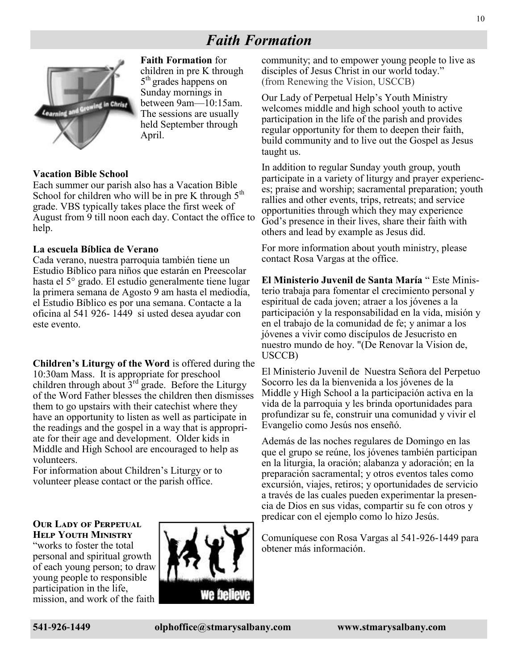### *Faith Formation*



**Faith Formation** for children in pre K through 5<sup>th</sup> grades happens on Sunday mornings in between 9am—10:15am. The sessions are usually held September through April.

#### **Vacation Bible School**

Each summer our parish also has a Vacation Bible School for children who will be in pre K through  $5<sup>th</sup>$ grade. VBS typically takes place the first week of August from 9 till noon each day. Contact the office to help.

#### **La escuela Bíblica de Verano**

Cada verano, nuestra parroquia también tiene un Estudio Bíblico para niños que estarán en Preescolar hasta el 5° grado. El estudio generalmente tiene lugar la primera semana de Agosto 9 am hasta el mediodía, el Estudio Bíblico es por una semana. Contacte a la oficina al 541 926- 1449 si usted desea ayudar con este evento.

**Children's Liturgy of the Word** is offered during the 10:30am Mass. It is appropriate for preschool children through about  $3<sup>rd</sup>$  grade. Before the Liturgy of the Word Father blesses the children then dismisses them to go upstairs with their catechist where they have an opportunity to listen as well as participate in the readings and the gospel in a way that is appropriate for their age and development. Older kids in Middle and High School are encouraged to help as volunteers.

For information about Children's Liturgy or to volunteer please contact or the parish office.

#### **OUR LADY OF PERPETUAL Help Youth Ministry**

"works to foster the total personal and spiritual growth of each young person; to draw young people to responsible participation in the life, mission, and work of the faith



community; and to empower young people to live as disciples of Jesus Christ in our world today." (from Renewing the Vision, USCCB)

Our Lady of Perpetual Help's Youth Ministry welcomes middle and high school youth to active participation in the life of the parish and provides regular opportunity for them to deepen their faith, build community and to live out the Gospel as Jesus taught us.

In addition to regular Sunday youth group, youth participate in a variety of liturgy and prayer experiences; praise and worship; sacramental preparation; youth rallies and other events, trips, retreats; and service opportunities through which they may experience God's presence in their lives, share their faith with others and lead by example as Jesus did.

For more information about youth ministry, please contact Rosa Vargas at the office.

**El Ministerio Juvenil de Santa María** " Este Ministerio trabaja para fomentar el crecimiento personal y espiritual de cada joven; atraer a los jóvenes a la participación y la responsabilidad en la vida, misión y en el trabajo de la comunidad de fe; y animar a los jóvenes a vivir como discípulos de Jesucristo en nuestro mundo de hoy. "(De Renovar la Vision de, USCCB)

El Ministerio Juvenil de Nuestra Señora del Perpetuo Socorro les da la bienvenida a los jóvenes de la Middle y High School a la participación activa en la vida de la parroquia y les brinda oportunidades para profundizar su fe, construir una comunidad y vivir el Evangelio como Jesús nos enseñó.

Además de las noches regulares de Domingo en las que el grupo se reúne, los jóvenes también participan en la liturgia, la oración; alabanza y adoración; en la preparación sacramental; y otros eventos tales como excursión, viajes, retiros; y oportunidades de servicio a través de las cuales pueden experimentar la presencia de Dios en sus vidas, compartir su fe con otros y predicar con el ejemplo como lo hizo Jesús.

Comuníquese con Rosa Vargas al 541-926-1449 para obtener más información.

10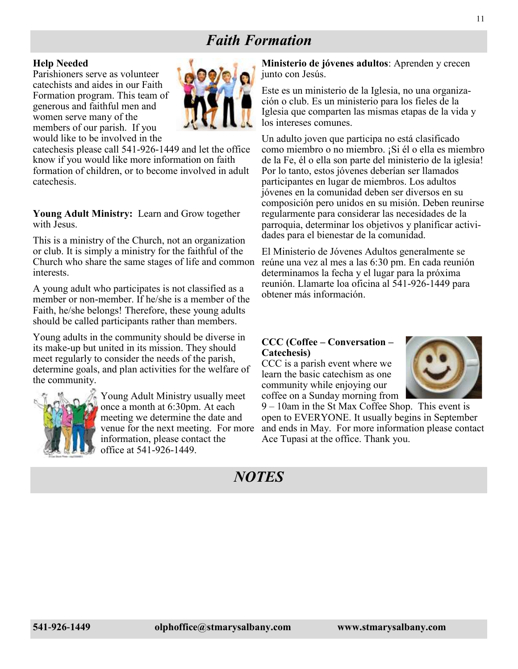### *Faith Formation*

#### **Help Needed**

Parishioners serve as volunteer catechists and aides in our Faith Formation program. This team of generous and faithful men and women serve many of the members of our parish. If you would like to be involved in the



catechesis please call 541-926-1449 and let the office know if you would like more information on faith formation of children, or to become involved in adult catechesis.

**Young Adult Ministry:** Learn and Grow together with Jesus.

This is a ministry of the Church, not an organization or club. It is simply a ministry for the faithful of the Church who share the same stages of life and common interests.

A young adult who participates is not classified as a member or non-member. If he/she is a member of the Faith, he/she belongs! Therefore, these young adults should be called participants rather than members.

Young adults in the community should be diverse in its make-up but united in its mission. They should meet regularly to consider the needs of the parish, determine goals, and plan activities for the welfare of the community.



Young Adult Ministry usually meet once a month at 6:30pm. At each meeting we determine the date and venue for the next meeting. For more information, please contact the office at 541-926-1449.

**Ministerio de jóvenes adultos**: Aprenden y crecen junto con Jesús.

Este es un ministerio de la Iglesia, no una organización o club. Es un ministerio para los fieles de la Iglesia que comparten las mismas etapas de la vida y los intereses comunes.

Un adulto joven que participa no está clasificado como miembro o no miembro. ¡Si él o ella es miembro de la Fe, él o ella son parte del ministerio de la iglesia! Por lo tanto, estos jóvenes deberían ser llamados participantes en lugar de miembros. Los adultos jóvenes en la comunidad deben ser diversos en su composición pero unidos en su misión. Deben reunirse regularmente para considerar las necesidades de la parroquia, determinar los objetivos y planificar actividades para el bienestar de la comunidad.

El Ministerio de Jóvenes Adultos generalmente se reúne una vez al mes a las 6:30 pm. En cada reunión determinamos la fecha y el lugar para la próxima reunión. Llamarte loa oficina al 541-926-1449 para obtener más información.

#### **CCC (Coffee – Conversation – Catechesis)**

CCC is a parish event where we learn the basic catechism as one community while enjoying our coffee on a Sunday morning from



9 – 10am in the St Max Coffee Shop. This event is open to EVERYONE. It usually begins in September and ends in May. For more information please contact Ace Tupasi at the office. Thank you.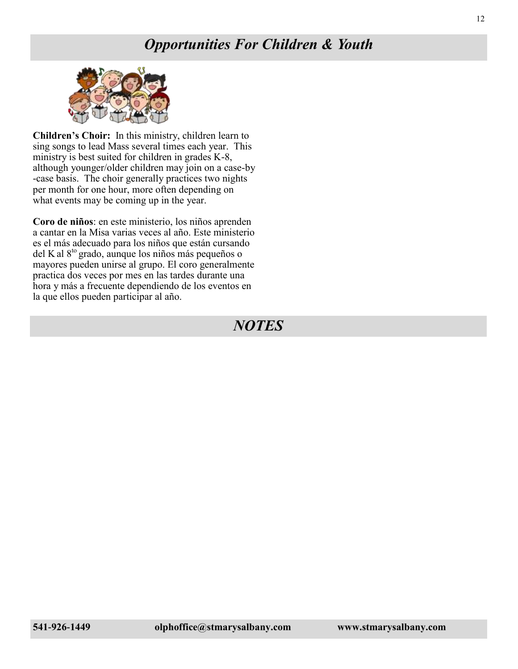### *Opportunities For Children & Youth*



**Children's Choir:** In this ministry, children learn to sing songs to lead Mass several times each year. This ministry is best suited for children in grades K-8, although younger/older children may join on a case-by -case basis. The choir generally practices two nights per month for one hour, more often depending on what events may be coming up in the year.

**Coro de niños**: en este ministerio, los niños aprenden a cantar en la Misa varias veces al año. Este ministerio es el más adecuado para los niños que están cursando del K al 8<sup>to</sup> grado, aunque los niños más pequeños o mayores pueden unirse al grupo. El coro generalmente practica dos veces por mes en las tardes durante una hora y más a frecuente dependiendo de los eventos en la que ellos pueden participar al año.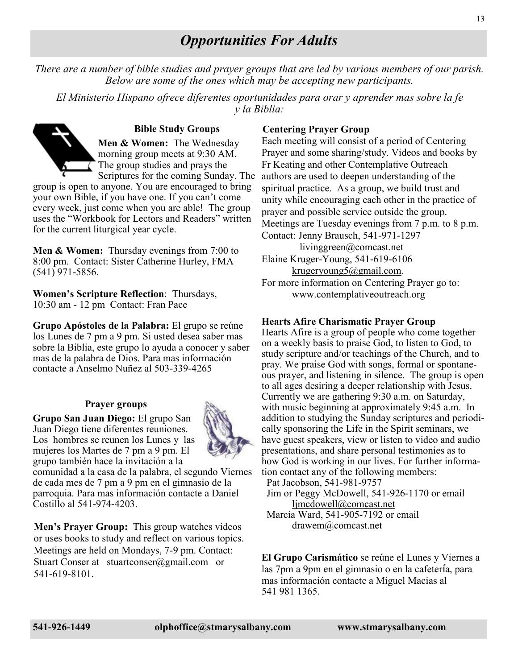### *Opportunities For Adults*

*There are a number of bible studies and prayer groups that are led by various members of our parish. Below are some of the ones which may be accepting new participants.*

*El Ministerio Hispano ofrece diferentes oportunidades para orar y aprender mas sobre la fe y la Biblia:*

**Bible Study Groups Men & Women:** The Wednesday morning group meets at 9:30 AM. The group studies and prays the Scriptures for the coming Sunday. The

group is open to anyone. You are encouraged to bring your own Bible, if you have one. If you can't come every week, just come when you are able! The group uses the "Workbook for Lectors and Readers" written for the current liturgical year cycle.

**Men & Women:** Thursday evenings from 7:00 to 8:00 pm. Contact: Sister Catherine Hurley, FMA (541) 971-5856.

**Women's Scripture Reflection**: Thursdays, 10:30 am - 12 pm Contact: Fran Pace

**Grupo Apóstoles de la Palabra:** El grupo se reúne los Lunes de 7 pm a 9 pm. Si usted desea saber mas sobre la Biblia, este grupo lo ayuda a conocer y saber mas de la palabra de Dios. Para mas información contacte a Anselmo Nuñez al 503-339-4265

#### **Prayer groups**

**Grupo San Juan Diego:** El grupo San Juan Diego tiene diferentes reuniones. Los hombres se reunen los Lunes y las mujeres los Martes de 7 pm a 9 pm. El grupo también hace la invitación a la



comunidad a la casa de la palabra, el segundo Viernes de cada mes de 7 pm a 9 pm en el gimnasio de la parroquia. Para mas información contacte a Daniel Costillo al 541-974-4203.

**Men's Prayer Group:** This group watches videos or uses books to study and reflect on various topics. Meetings are held on Mondays, 7-9 pm. Contact: Stuart Conser at stuartconser@gmail.com or 541-619-8101.

#### **Centering Prayer Group**

Each meeting will consist of a period of Centering Prayer and some sharing/study. Videos and books by Fr Keating and other Contemplative Outreach authors are used to deepen understanding of the spiritual practice. As a group, we build trust and unity while encouraging each other in the practice of prayer and possible service outside the group. Meetings are Tuesday evenings from 7 p.m. to 8 p.m. Contact: Jenny Brausch, 541-971-1297 livinggreen@comcast.net Elaine Kruger-Young, 541-619-6106 [krugeryoung5@gmail.com.](mailto:krugeryoung5@gmail.com) For more information on Centering Prayer go to:

[www.contemplativeoutreach.org](http://www.contemplativeoutreach.org)

#### **Hearts Afire Charismatic Prayer Group**

Hearts Afire is a group of people who come together on a weekly basis to praise God, to listen to God, to study scripture and/or teachings of the Church, and to pray. We praise God with songs, formal or spontaneous prayer, and listening in silence. The group is open to all ages desiring a deeper relationship with Jesus. Currently we are gathering 9:30 a.m. on Saturday, with music beginning at approximately 9:45 a.m. In addition to studying the Sunday scriptures and periodically sponsoring the Life in the Spirit seminars, we have guest speakers, view or listen to video and audio presentations, and share personal testimonies as to how God is working in our lives. For further information contact any of the following members: Pat Jacobson, 541-981-9757

 Jim or Peggy McDowell, 541-926-1170 or email [ljmcdowell@comcast.net](mailto:ljmcdowell@comcast.net)

 Marcia Ward, 541-905-7192 or email [drawem@comcast.net](mailto:drawem@comcast.net)

**El Grupo Carismático** se reúne el Lunes y Viernes a las 7pm a 9pm en el gimnasio o en la cafetería, para mas información contacte a Miguel Macias al 541 981 1365.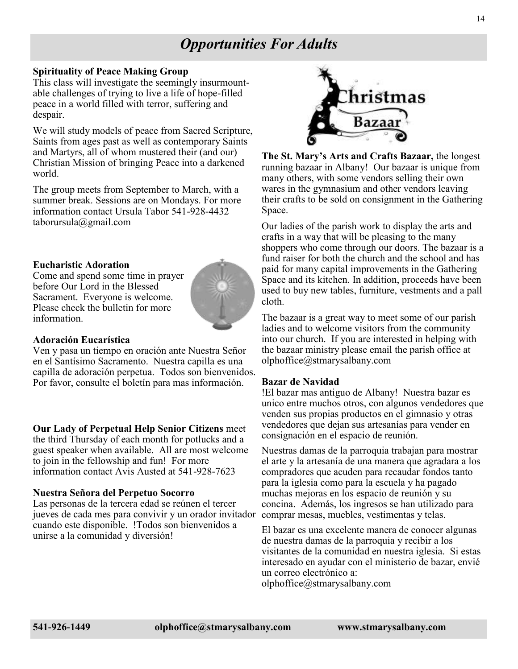### *Opportunities For Adults*

#### **Spirituality of Peace Making Group**

This class will investigate the seemingly insurmountable challenges of trying to live a life of hope-filled peace in a world filled with terror, suffering and despair.

We will study models of peace from Sacred Scripture, Saints from ages past as well as contemporary Saints and Martyrs, all of whom mustered their (and our) Christian Mission of bringing Peace into a darkened world.

The group meets from September to March, with a summer break. Sessions are on Mondays. For more information contact Ursula Tabor 541-928-4432 taborursula@gmail.com

#### **Eucharistic Adoration**

Come and spend some time in prayer before Our Lord in the Blessed Sacrament. Everyone is welcome. Please check the bulletin for more information.



#### **Adoración Eucarística**

Ven y pasa un tiempo en oración ante Nuestra Señor en el Santísimo Sacramento. Nuestra capilla es una capilla de adoración perpetua. Todos son bienvenidos. Por favor, consulte el boletín para mas información.

#### **Our Lady of Perpetual Help Senior Citizens** meet

the third Thursday of each month for potlucks and a guest speaker when available. All are most welcome to join in the fellowship and fun! For more information contact Avis Austed at 541-928-7623

#### **Nuestra Señora del Perpetuo Socorro**

Las personas de la tercera edad se reúnen el tercer jueves de cada mes para convivir y un orador invitador cuando este disponible. !Todos son bienvenidos a unirse a la comunidad y diversión!



**The St. Mary's Arts and Crafts Bazaar,** the longest running bazaar in Albany! Our bazaar is unique from many others, with some vendors selling their own wares in the gymnasium and other vendors leaving their crafts to be sold on consignment in the Gathering Space.

Our ladies of the parish work to display the arts and crafts in a way that will be pleasing to the many shoppers who come through our doors. The bazaar is a fund raiser for both the church and the school and has paid for many capital improvements in the Gathering Space and its kitchen. In addition, proceeds have been used to buy new tables, furniture, vestments and a pall cloth.

The bazaar is a great way to meet some of our parish ladies and to welcome visitors from the community into our church. If you are interested in helping with the bazaar ministry please email the parish office at olphoffice@stmarysalbany.com

#### **Bazar de Navidad**

!El bazar mas antiguo de Albany! Nuestra bazar es unico entre muchos otros, con algunos vendedores que venden sus propias productos en el gimnasio y otras vendedores que dejan sus artesanías para vender en consignación en el espacio de reunión.

Nuestras damas de la parroquia trabajan para mostrar el arte y la artesanía de una manera que agradara a los compradores que acuden para recaudar fondos tanto para la iglesia como para la escuela y ha pagado muchas mejoras en los espacio de reunión y su concina. Además, los ingresos se han utilizado para comprar mesas, muebles, vestimentas y telas.

El bazar es una excelente manera de conocer algunas de nuestra damas de la parroquia y recibir a los visitantes de la comunidad en nuestra iglesia. Si estas interesado en ayudar con el ministerio de bazar, envié un correo electrónico a:

olphoffice@stmarysalbany.com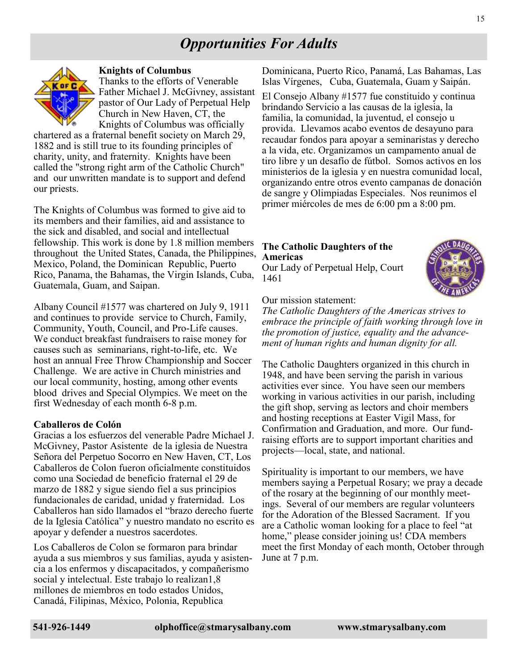### *Opportunities For Adults*



#### **Knights of Columbus**

Thanks to the efforts of Venerable Father Michael J. McGivney, assistant pastor of Our Lady of Perpetual Help Church in New Haven, CT, the Knights of Columbus was officially

chartered as a fraternal benefit society on March 29, 1882 and is still true to its founding principles of charity, unity, and fraternity. Knights have been called the "strong right arm of the Catholic Church" and our unwritten mandate is to support and defend our priests.

The Knights of Columbus was formed to give aid to its members and their families, aid and assistance to the sick and disabled, and social and intellectual fellowship. This work is done by 1.8 million members throughout the United States, Canada, the Philippines, Mexico, Poland, the Dominican Republic, Puerto Rico, Panama, the Bahamas, the Virgin Islands, Cuba, Guatemala, Guam, and Saipan.

Albany Council #1577 was chartered on July 9, 1911 and continues to provide service to Church, Family, Community, Youth, Council, and Pro-Life causes. We conduct breakfast fundraisers to raise money for causes such as seminarians, right-to-life, etc. We host an annual Free Throw Championship and Soccer Challenge. We are active in Church ministries and our local community, hosting, among other events blood drives and Special Olympics. We meet on the first Wednesday of each month 6-8 p.m.

#### **Caballeros de Colón**

Gracias a los esfuerzos del venerable Padre Michael J. McGivney, Pastor Asistente de la iglesia de Nuestra Señora del Perpetuo Socorro en New Haven, CT, Los Caballeros de Colon fueron oficialmente constituidos como una Sociedad de beneficio fraternal el 29 de marzo de 1882 y sigue siendo fiel a sus principios fundacionales de caridad, unidad y fraternidad. Los Caballeros han sido llamados el "brazo derecho fuerte de la Iglesia Católica" y nuestro mandato no escrito es apoyar y defender a nuestros sacerdotes.

Los Caballeros de Colon se formaron para brindar ayuda a sus miembros y sus familias, ayuda y asistencia a los enfermos y discapacitados, y compañerismo social y intelectual. Este trabajo lo realizan1,8 millones de miembros en todo estados Unidos, Canadá, Filipinas, México, Polonia, Republica

Dominicana, Puerto Rico, Panamá, Las Bahamas, Las Islas Vírgenes, Cuba, Guatemala, Guam y Saipán.

El Consejo Albany #1577 fue constituido y continua brindando Servicio a las causas de la iglesia, la familia, la comunidad, la juventud, el consejo u provida. Llevamos acabo eventos de desayuno para recaudar fondos para apoyar a seminaristas y derecho a la vida, etc. Organizamos un campamento anual de tiro libre y un desafío de fútbol. Somos activos en los ministerios de la iglesia y en nuestra comunidad local, organizando entre otros evento campanas de donación de sangre y Olimpiadas Especiales. Nos reunimos el primer miércoles de mes de 6:00 pm a 8:00 pm.

#### **The Catholic Daughters of the Americas**

Our Lady of Perpetual Help, Court 1461



Our mission statement:

*The Catholic Daughters of the Americas strives to embrace the principle of faith working through love in the promotion of justice, equality and the advancement of human rights and human dignity for all.*

The Catholic Daughters organized in this church in 1948, and have been serving the parish in various activities ever since. You have seen our members working in various activities in our parish, including the gift shop, serving as lectors and choir members and hosting receptions at Easter Vigil Mass, for Confirmation and Graduation, and more. Our fundraising efforts are to support important charities and projects—local, state, and national.

Spirituality is important to our members, we have members saying a Perpetual Rosary; we pray a decade of the rosary at the beginning of our monthly meetings. Several of our members are regular volunteers for the Adoration of the Blessed Sacrament. If you are a Catholic woman looking for a place to feel "at home," please consider joining us! CDA members meet the first Monday of each month, October through June at 7 p.m.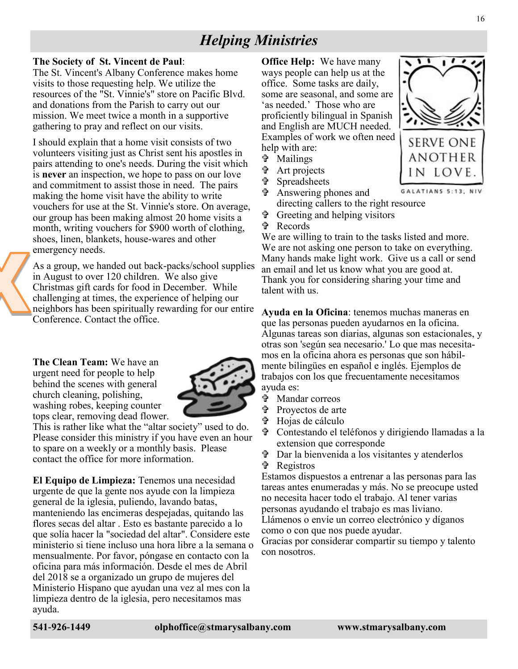### *Helping Ministries*

#### **The Society of St. Vincent de Paul**:

The St. Vincent's Albany Conference makes home visits to those requesting help. We utilize the resources of the "St. Vinnie's" store on Pacific Blvd. and donations from the Parish to carry out our mission. We meet twice a month in a supportive gathering to pray and reflect on our visits.

I should explain that a home visit consists of two volunteers visiting just as Christ sent his apostles in pairs attending to one's needs. During the visit which is **never** an inspection, we hope to pass on our love and commitment to assist those in need. The pairs making the home visit have the ability to write vouchers for use at the St. Vinnie's store. On average, our group has been making almost 20 home visits a month, writing vouchers for \$900 worth of clothing, shoes, linen, blankets, house-wares and other emergency needs.

As a group, we handed out back-packs/school supplies in August to over 120 children. We also give Christmas gift cards for food in December. While challenging at times, the experience of helping our neighbors has been spiritually rewarding for our entire Conference. Contact the office.

**The Clean Team:** We have an urgent need for people to help behind the scenes with general church cleaning, polishing, washing robes, keeping counter tops clear, removing dead flower.



This is rather like what the "altar society" used to do. Please consider this ministry if you have even an hour to spare on a weekly or a monthly basis. Please contact the office for more information.

**El Equipo de Limpieza:** Tenemos una necesidad urgente de que la gente nos ayude con la limpieza general de la iglesia, puliendo, lavando batas, manteniendo las encimeras despejadas, quitando las flores secas del altar . Esto es bastante parecido a lo que solía hacer la "sociedad del altar". Considere este ministerio si tiene incluso una hora libre a la semana o mensualmente. Por favor, póngase en contacto con la oficina para más información. Desde el mes de Abril del 2018 se a organizado un grupo de mujeres del Ministerio Hispano que ayudan una vez al mes con la limpieza dentro de la iglesia, pero necesitamos mas ayuda.

**Office Help:** We have many ways people can help us at the office. Some tasks are daily, some are seasonal, and some are 'as needed.' Those who are proficiently bilingual in Spanish and English are MUCH needed. Examples of work we often need help with are:

- Mailings
- Art projects
- Spreadsheets
- Answering phones and
- directing callers to the right resource
- Greeting and helping visitors
- Records

We are willing to train to the tasks listed and more. We are not asking one person to take on everything. Many hands make light work. Give us a call or send an email and let us know what you are good at. Thank you for considering sharing your time and talent with us.

**Ayuda en la Oficina**: tenemos muchas maneras en que las personas pueden ayudarnos en la oficina. Algunas tareas son diarias, algunas son estacionales, y otras son 'según sea necesario.' Lo que mas necesitamos en la oficina ahora es personas que son hábilmente bilingües en español e inglés. Ejemplos de trabajos con los que frecuentamente necesitamos ayuda es:

- Mandar correos
- Proyectos de arte
- Hojas de cálculo
- Contestando el teléfonos y dirigiendo llamadas a la extension que corresponde
- Dar la bienvenida a los visitantes y atenderlos
- Registros

Estamos dispuestos a entrenar a las personas para las tareas antes enumeradas y más. No se preocupe usted no necesita hacer todo el trabajo. Al tener varias personas ayudando el trabajo es mas liviano. Llámenos o envíe un correo electrónico y díganos

como o con que nos puede ayudar.

Gracias por considerar compartir su tiempo y talento con nosotros.

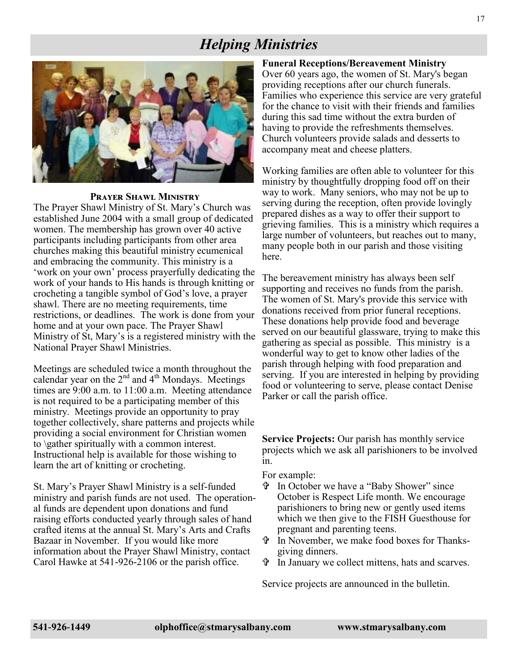### *Helping Ministries*



#### **Prayer Shawl Ministry**

The Prayer Shawl Ministry of St. Mary's Church was established June 2004 with a small group of dedicated women. The membership has grown over 40 active participants including participants from other area churches making this beautiful ministry ecumenical and embracing the community. This ministry is a 'work on your own' process prayerfully dedicating the work of your hands to His hands is through knitting or crocheting a tangible symbol of God's love, a prayer shawl. There are no meeting requirements, time restrictions, or deadlines. The work is done from your home and at your own pace. The Prayer Shawl Ministry of St, Mary's is a registered ministry with the National Prayer Shawl Ministries.

Meetings are scheduled twice a month throughout the calendar year on the  $2<sup>nd</sup>$  and  $4<sup>th</sup>$  Mondays. Meetings times are 9:00 a.m. to 11:00 a.m. Meeting attendance is not required to be a participating member of this ministry. Meetings provide an opportunity to pray together collectively, share patterns and projects while providing a social environment for Christian women to \gather spiritually with a common interest. Instructional help is available for those wishing to learn the art of knitting or crocheting.

St. Mary's Prayer Shawl Ministry is a self-funded ministry and parish funds are not used. The operational funds are dependent upon donations and fund raising efforts conducted yearly through sales of hand crafted items at the annual St. Mary's Arts and Crafts Bazaar in November. If you would like more information about the Prayer Shawl Ministry, contact Carol Hawke at 541-926-2106 or the parish office.

**Funeral Receptions/Bereavement Ministry** Over 60 years ago, the women of St. Mary's began providing receptions after our church funerals. Families who experience this service are very grateful for the chance to visit with their friends and families during this sad time without the extra burden of having to provide the refreshments themselves. Church volunteers provide salads and desserts to accompany meat and cheese platters.

Working families are often able to volunteer for this ministry by thoughtfully dropping food off on their way to work. Many seniors, who may not be up to serving during the reception, often provide lovingly prepared dishes as a way to offer their support to grieving families. This is a ministry which requires a large number of volunteers, but reaches out to many, many people both in our parish and those visiting here.

The bereavement ministry has always been self supporting and receives no funds from the parish. The women of St. Mary's provide this service with donations received from prior funeral receptions. These donations help provide food and beverage served on our beautiful glassware, trying to make this gathering as special as possible. This ministry is a wonderful way to get to know other ladies of the parish through helping with food preparation and serving. If you are interested in helping by providing food or volunteering to serve, please contact Denise Parker or call the parish office.

**Service Projects:** Our parish has monthly service projects which we ask all parishioners to be involved in.

For example:

- In October we have a "Baby Shower" since October is Respect Life month. We encourage parishioners to bring new or gently used items which we then give to the FISH Guesthouse for pregnant and parenting teens.
- In November, we make food boxes for Thanksgiving dinners.
- In January we collect mittens, hats and scarves.

Service projects are announced in the bulletin.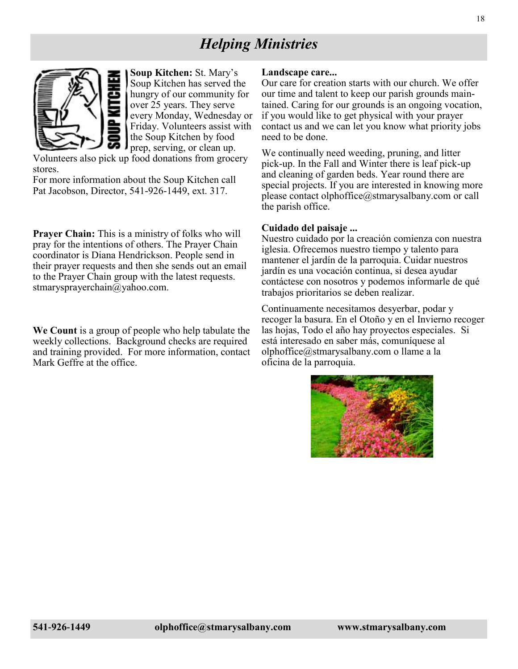### *Helping Ministries*



**Soup Kitchen:** St. Mary's Soup Kitchen has served the hungry of our community for over 25 years. They serve every Monday, Wednesday or Friday. Volunteers assist with the Soup Kitchen by food prep, serving, or clean up.

Volunteers also pick up food donations from grocery stores.

For more information about the Soup Kitchen call Pat Jacobson, Director, 541-926-1449, ext. 317.

**Prayer Chain:** This is a ministry of folks who will pray for the intentions of others. The Prayer Chain coordinator is Diana Hendrickson. People send in their prayer requests and then she sends out an email to the Prayer Chain group with the latest requests. stmarysprayerchain@yahoo.com.

**We Count** is a group of people who help tabulate the weekly collections. Background checks are required and training provided. For more information, contact Mark Geffre at the office.

#### **Landscape care...**

Our care for creation starts with our church. We offer our time and talent to keep our parish grounds maintained. Caring for our grounds is an ongoing vocation, if you would like to get physical with your prayer contact us and we can let you know what priority jobs need to be done.

We continually need weeding, pruning, and litter pick-up. In the Fall and Winter there is leaf pick-up and cleaning of garden beds. Year round there are special projects. If you are interested in knowing more please contact olphoffice@stmarysalbany.com or call the parish office.

#### **Cuidado del paisaje ...**

Nuestro cuidado por la creación comienza con nuestra iglesia. Ofrecemos nuestro tiempo y talento para mantener el jardín de la parroquia. Cuidar nuestros jardín es una vocación continua, si desea ayudar contáctese con nosotros y podemos informarle de qué trabajos prioritarios se deben realizar.

Continuamente necesitamos desyerbar, podar y recoger la basura. En el Otoño y en el Invierno recoger las hojas, Todo el año hay proyectos especiales. Si está interesado en saber más, comuníquese al olphoffice@stmarysalbany.com o llame a la oficina de la parroquia.